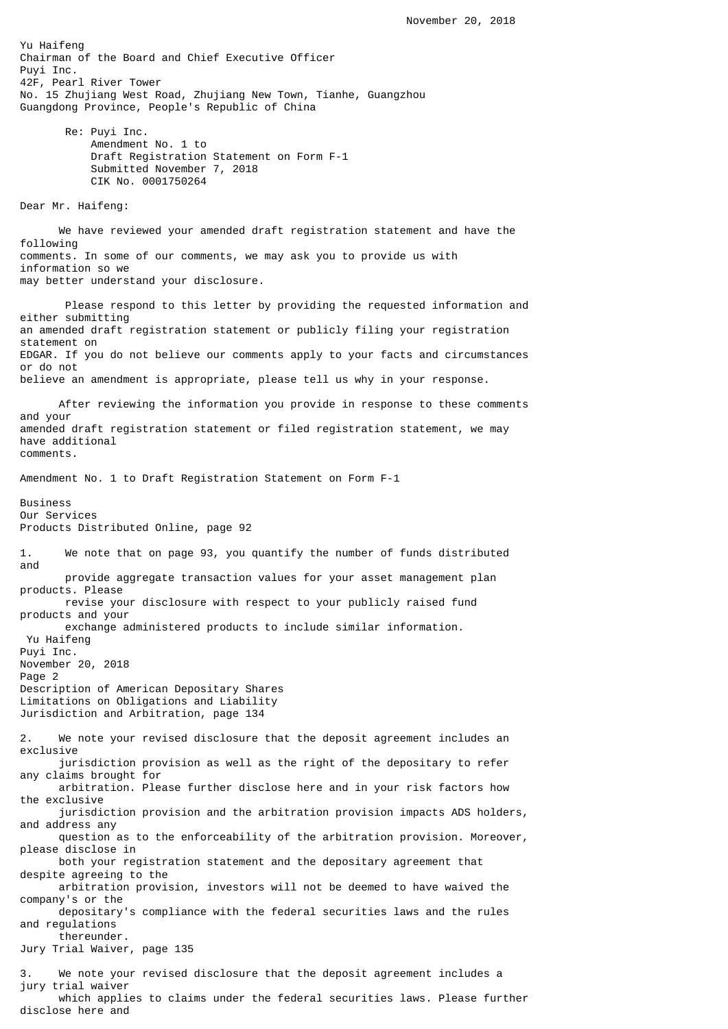Yu Haifeng Chairman of the Board and Chief Executive Officer Puyi Inc. 42F, Pearl River Tower No. 15 Zhujiang West Road, Zhujiang New Town, Tianhe, Guangzhou Guangdong Province, People's Republic of China

> Re: Puyi Inc. Amendment No. 1 to Draft Registration Statement on Form F-1 Submitted November 7, 2018 CIK No. 0001750264

Dear Mr. Haifeng:

 We have reviewed your amended draft registration statement and have the following comments. In some of our comments, we may ask you to provide us with information so we may better understand your disclosure.

 Please respond to this letter by providing the requested information and either submitting an amended draft registration statement or publicly filing your registration statement on EDGAR. If you do not believe our comments apply to your facts and circumstances or do not believe an amendment is appropriate, please tell us why in your response.

 After reviewing the information you provide in response to these comments and your amended draft registration statement or filed registration statement, we may have additional comments.

Amendment No. 1 to Draft Registration Statement on Form F-1

Business Our Services Products Distributed Online, page 92 1. We note that on page 93, you quantify the number of funds distributed and provide aggregate transaction values for your asset management plan products. Please revise your disclosure with respect to your publicly raised fund products and your exchange administered products to include similar information. Yu Haifeng Puyi Inc. November 20, 2018 Page 2 Description of American Depositary Shares Limitations on Obligations and Liability Jurisdiction and Arbitration, page 134 2. We note your revised disclosure that the deposit agreement includes an exclusive jurisdiction provision as well as the right of the depositary to refer any claims brought for arbitration. Please further disclose here and in your risk factors how the exclusive jurisdiction provision and the arbitration provision impacts ADS holders, and address any question as to the enforceability of the arbitration provision. Moreover, please disclose in both your registration statement and the depositary agreement that despite agreeing to the arbitration provision, investors will not be deemed to have waived the company's or the depositary's compliance with the federal securities laws and the rules and regulations thereunder. Jury Trial Waiver, page 135 3. We note your revised disclosure that the deposit agreement includes a jury trial waiver

 which applies to claims under the federal securities laws. Please further disclose here and